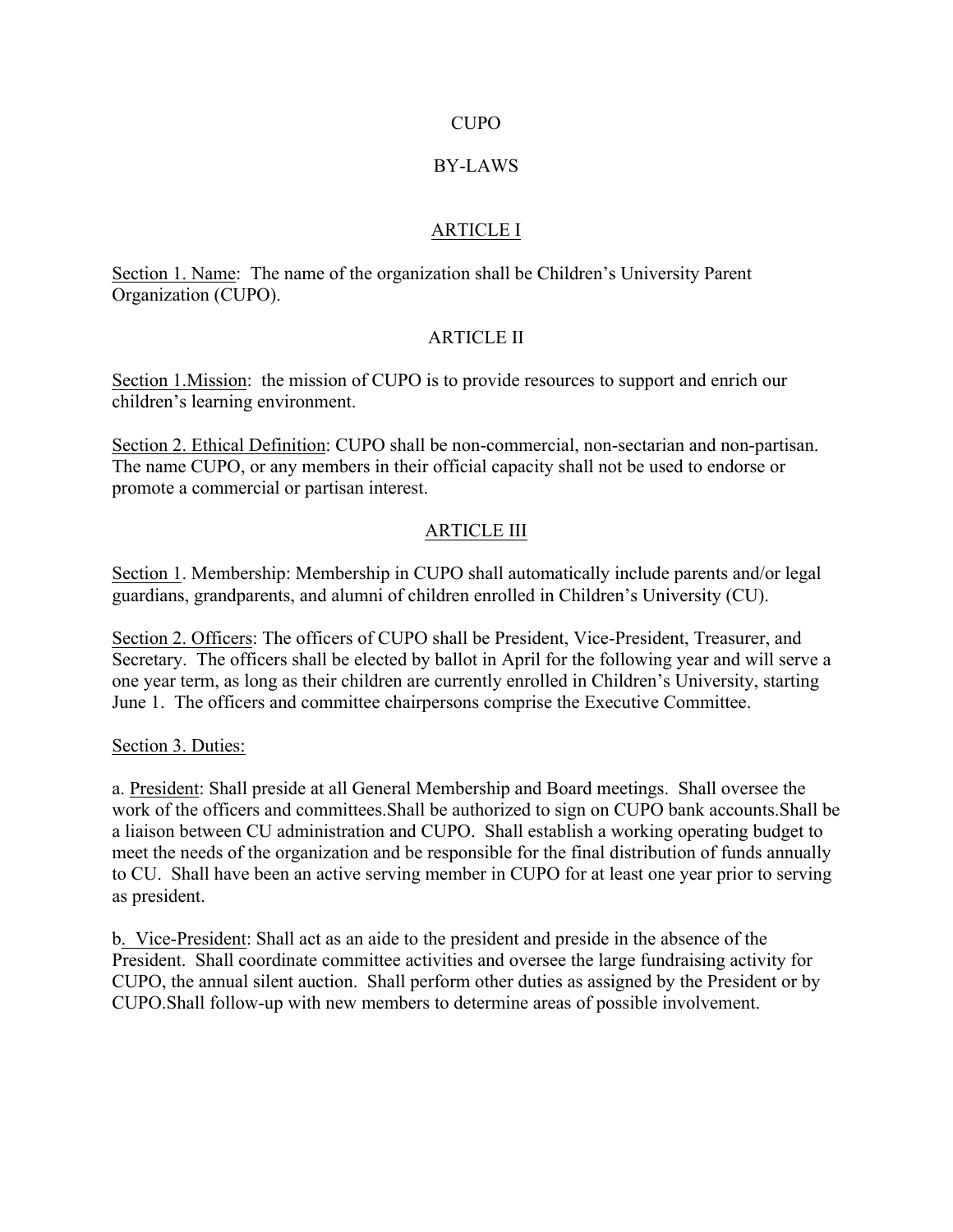#### CUPO

#### BY-LAWS

#### ARTICLE I

Section 1. Name: The name of the organization shall be Children's University Parent Organization (CUPO).

## ARTICLE II

Section 1. Mission: the mission of CUPO is to provide resources to support and enrich our children's learning environment.

Section 2. Ethical Definition: CUPO shall be non-commercial, non-sectarian and non-partisan. The name CUPO, or any members in their official capacity shall not be used to endorse or promote a commercial or partisan interest.

## ARTICLE III

Section 1. Membership: Membership in CUPO shall automatically include parents and/or legal guardians, grandparents, and alumni of children enrolled in Children's University (CU).

Section 2. Officers: The officers of CUPO shall be President, Vice-President, Treasurer, and Secretary. The officers shall be elected by ballot in April for the following year and will serve a one year term, as long as their children are currently enrolled in Children's University, starting June 1. The officers and committee chairpersons comprise the Executive Committee.

Section 3. Duties:

a. President: Shall preside at all General Membership and Board meetings. Shall oversee the work of the officers and committees.Shall be authorized to sign on CUPO bank accounts.Shall be a liaison between CU administration and CUPO. Shall establish a working operating budget to meet the needs of the organization and be responsible for the final distribution of funds annually to CU. Shall have been an active serving member in CUPO for at least one year prior to serving as president.

b. Vice-President: Shall act as an aide to the president and preside in the absence of the President. Shall coordinate committee activities and oversee the large fundraising activity for CUPO, the annual silent auction. Shall perform other duties as assigned by the President or by CUPO.Shall follow-up with new members to determine areas of possible involvement.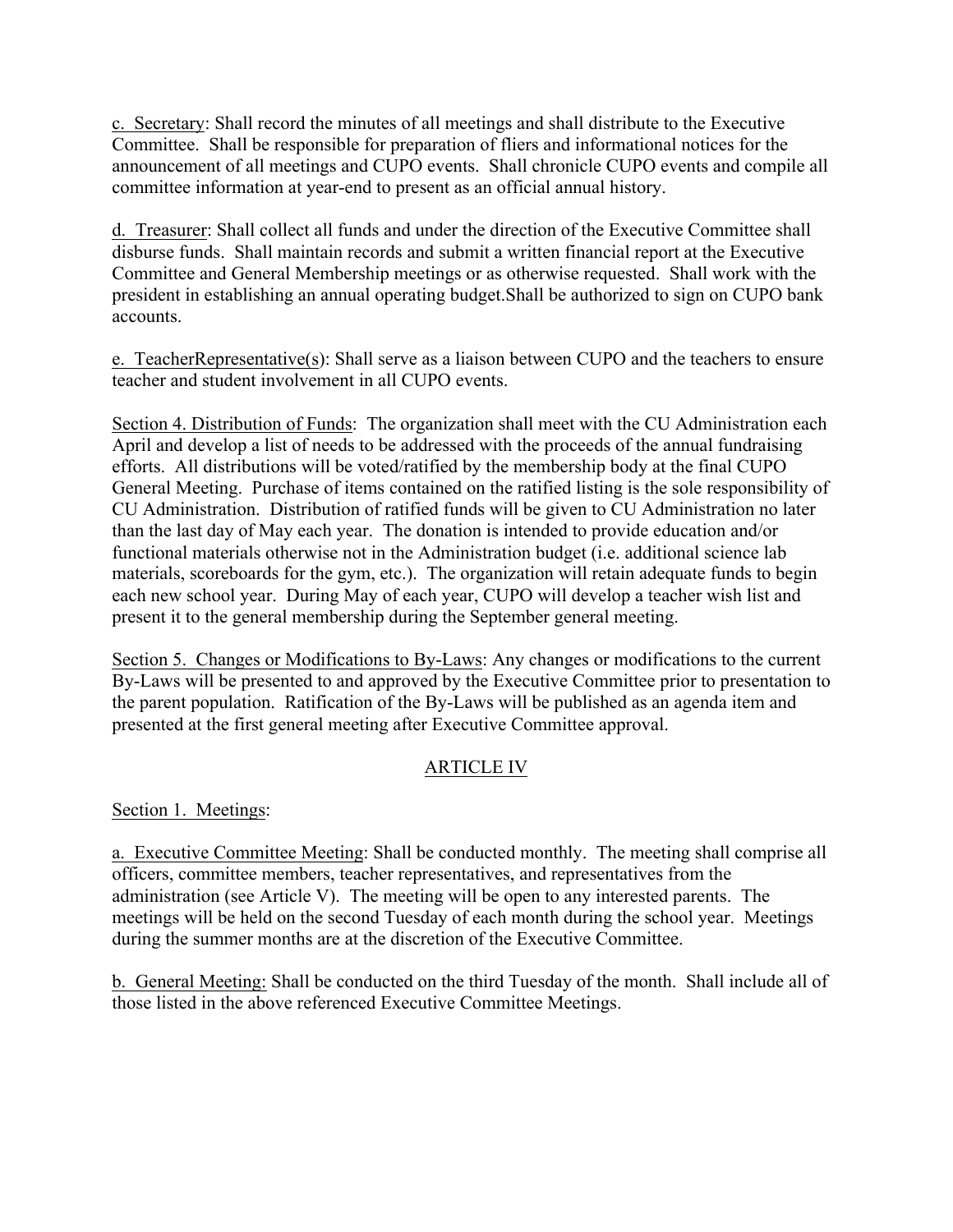c. Secretary: Shall record the minutes of all meetings and shall distribute to the Executive Committee. Shall be responsible for preparation of fliers and informational notices for the announcement of all meetings and CUPO events. Shall chronicle CUPO events and compile all committee information at year-end to present as an official annual history.

d. Treasurer: Shall collect all funds and under the direction of the Executive Committee shall disburse funds. Shall maintain records and submit a written financial report at the Executive Committee and General Membership meetings or as otherwise requested. Shall work with the president in establishing an annual operating budget.Shall be authorized to sign on CUPO bank accounts.

e. TeacherRepresentative(s): Shall serve as a liaison between CUPO and the teachers to ensure teacher and student involvement in all CUPO events.

Section 4. Distribution of Funds: The organization shall meet with the CU Administration each April and develop a list of needs to be addressed with the proceeds of the annual fundraising efforts. All distributions will be voted/ratified by the membership body at the final CUPO General Meeting. Purchase of items contained on the ratified listing is the sole responsibility of CU Administration. Distribution of ratified funds will be given to CU Administration no later than the last day of May each year. The donation is intended to provide education and/or functional materials otherwise not in the Administration budget (i.e. additional science lab materials, scoreboards for the gym, etc.). The organization will retain adequate funds to begin each new school year. During May of each year, CUPO will develop a teacher wish list and present it to the general membership during the September general meeting.

Section 5. Changes or Modifications to By-Laws: Any changes or modifications to the current By-Laws will be presented to and approved by the Executive Committee prior to presentation to the parent population. Ratification of the By-Laws will be published as an agenda item and presented at the first general meeting after Executive Committee approval.

# ARTICLE IV

Section 1. Meetings:

a. Executive Committee Meeting: Shall be conducted monthly. The meeting shall comprise all officers, committee members, teacher representatives, and representatives from the administration (see Article V). The meeting will be open to any interested parents. The meetings will be held on the second Tuesday of each month during the school year. Meetings during the summer months are at the discretion of the Executive Committee.

b. General Meeting: Shall be conducted on the third Tuesday of the month. Shall include all of those listed in the above referenced Executive Committee Meetings.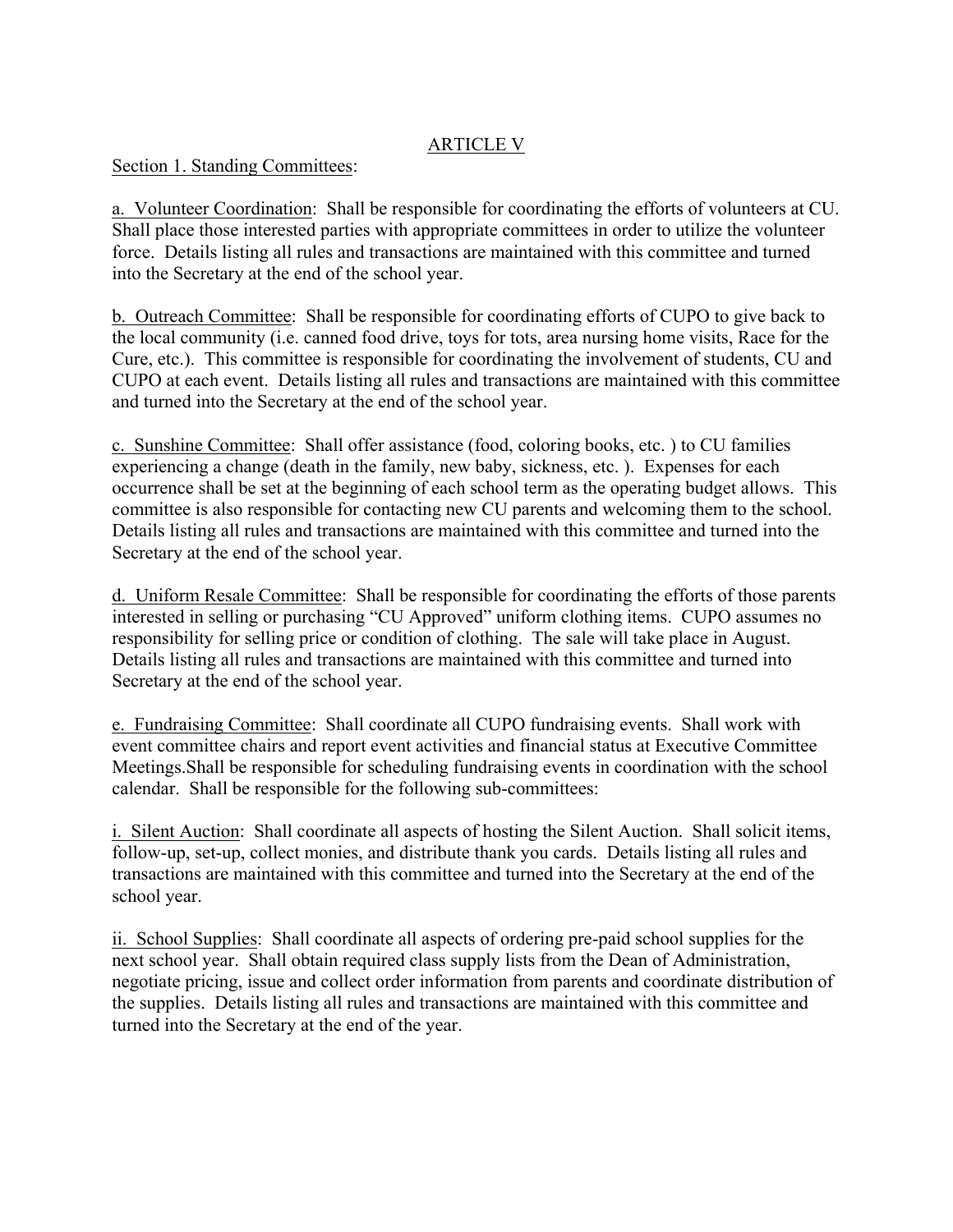## ARTICLE V

#### Section 1. Standing Committees:

a. Volunteer Coordination: Shall be responsible for coordinating the efforts of volunteers at CU. Shall place those interested parties with appropriate committees in order to utilize the volunteer force. Details listing all rules and transactions are maintained with this committee and turned into the Secretary at the end of the school year.

b. Outreach Committee: Shall be responsible for coordinating efforts of CUPO to give back to the local community (i.e. canned food drive, toys for tots, area nursing home visits, Race for the Cure, etc.). This committee is responsible for coordinating the involvement of students, CU and CUPO at each event. Details listing all rules and transactions are maintained with this committee and turned into the Secretary at the end of the school year.

c. Sunshine Committee: Shall offer assistance (food, coloring books, etc. ) to CU families experiencing a change (death in the family, new baby, sickness, etc. ). Expenses for each occurrence shall be set at the beginning of each school term as the operating budget allows. This committee is also responsible for contacting new CU parents and welcoming them to the school. Details listing all rules and transactions are maintained with this committee and turned into the Secretary at the end of the school year.

d. Uniform Resale Committee: Shall be responsible for coordinating the efforts of those parents interested in selling or purchasing "CU Approved" uniform clothing items. CUPO assumes no responsibility for selling price or condition of clothing. The sale will take place in August. Details listing all rules and transactions are maintained with this committee and turned into Secretary at the end of the school year.

e. Fundraising Committee: Shall coordinate all CUPO fundraising events. Shall work with event committee chairs and report event activities and financial status at Executive Committee Meetings.Shall be responsible for scheduling fundraising events in coordination with the school calendar. Shall be responsible for the following sub-committees:

i. Silent Auction: Shall coordinate all aspects of hosting the Silent Auction. Shall solicit items, follow-up, set-up, collect monies, and distribute thank you cards. Details listing all rules and transactions are maintained with this committee and turned into the Secretary at the end of the school year.

ii. School Supplies: Shall coordinate all aspects of ordering pre-paid school supplies for the next school year. Shall obtain required class supply lists from the Dean of Administration, negotiate pricing, issue and collect order information from parents and coordinate distribution of the supplies. Details listing all rules and transactions are maintained with this committee and turned into the Secretary at the end of the year.